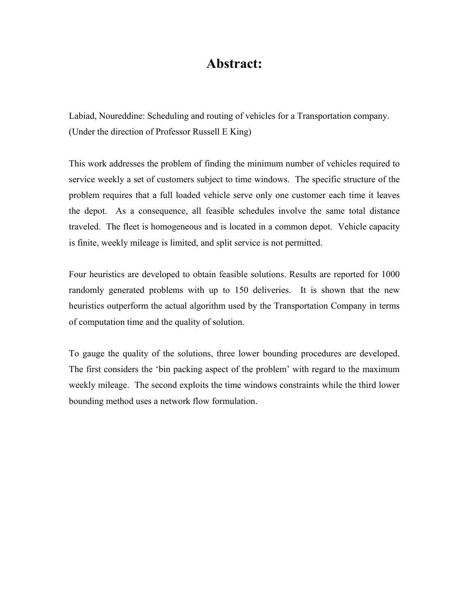## **Abstract:**

Labiad, Noureddine: Scheduling and routing of vehicles for a Transportation company. (Under the direction of Professor Russell E King)

This work addresses the problem of finding the minimum number of vehicles required to service weekly a set of customers subject to time windows. The specific structure of the problem requires that a full loaded vehicle serve only one customer each time it leaves the depot. As a consequence, all feasible schedules involve the same total distance traveled. The fleet is homogeneous and is located in a common depot. Vehicle capacity is finite, weekly mileage is limited, and split service is not permitted.

Four heuristics are developed to obtain feasible solutions. Results are reported for 1000 randomly generated problems with up to 150 deliveries. It is shown that the new heuristics outperform the actual algorithm used by the Transportation Company in terms of computation time and the quality of solution.

To gauge the quality of the solutions, three lower bounding procedures are developed. The first considers the 'bin packing aspect of the problem' with regard to the maximum weekly mileage. The second exploits the time windows constraints while the third lower bounding method uses a network flow formulation.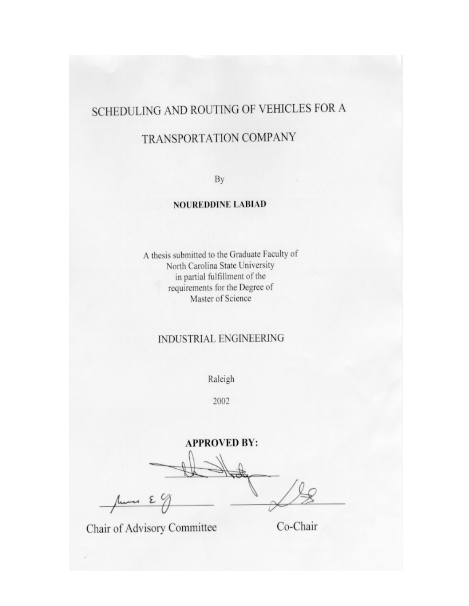# SCHEDULING AND ROUTING OF VEHICLES FOR A

# TRANSPORTATION COMPANY

By

### **NOUREDDINE LABIAD**

A thesis submitted to the Graduate Faculty of North Carolina State University in partial fulfillment of the requirements for the Degree of Master of Science

#### **INDUSTRIAL ENGINEERING**

Raleigh

2002

**APPROVED BY:** 

June E9

Chair of Advisory Committee

Co-Chair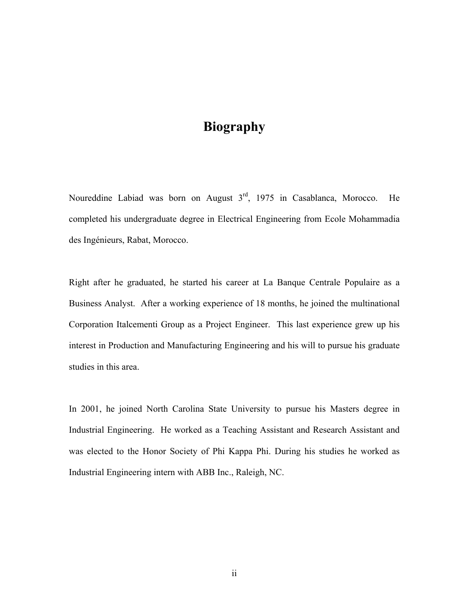# **Biography**

Noureddine Labiad was born on August 3<sup>rd</sup>, 1975 in Casablanca, Morocco. He completed his undergraduate degree in Electrical Engineering from Ecole Mohammadia des Ingénieurs, Rabat, Morocco.

Right after he graduated, he started his career at La Banque Centrale Populaire as a Business Analyst. After a working experience of 18 months, he joined the multinational Corporation Italcementi Group as a Project Engineer. This last experience grew up his interest in Production and Manufacturing Engineering and his will to pursue his graduate studies in this area.

In 2001, he joined North Carolina State University to pursue his Masters degree in Industrial Engineering. He worked as a Teaching Assistant and Research Assistant and was elected to the Honor Society of Phi Kappa Phi. During his studies he worked as Industrial Engineering intern with ABB Inc., Raleigh, NC.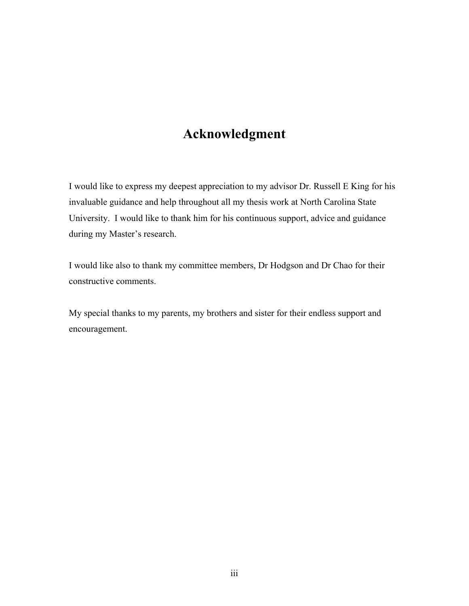# **Acknowledgment**

I would like to express my deepest appreciation to my advisor Dr. Russell E King for his invaluable guidance and help throughout all my thesis work at North Carolina State University. I would like to thank him for his continuous support, advice and guidance during my Master's research.

I would like also to thank my committee members, Dr Hodgson and Dr Chao for their constructive comments.

My special thanks to my parents, my brothers and sister for their endless support and encouragement.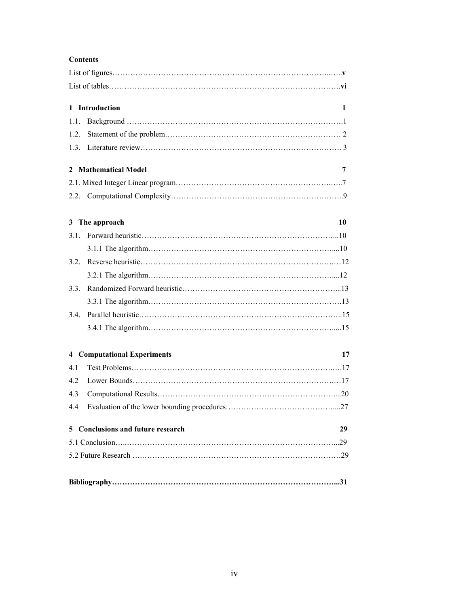#### **Contents**

|      | 1 Introduction                     | 1  |
|------|------------------------------------|----|
| 1.1. |                                    |    |
| 1.2. |                                    |    |
|      |                                    |    |
|      | 2 Mathematical Model               | 7  |
|      |                                    |    |
|      |                                    |    |
|      | 3 The approach                     | 10 |
| 3.1  |                                    |    |
|      |                                    |    |
| 3.2. |                                    |    |
|      |                                    |    |
| 3.3  |                                    |    |
|      |                                    |    |
| 3.4. |                                    |    |
|      |                                    |    |
|      | <b>4</b> Computational Experiments | 17 |
| 4.1  |                                    |    |
| 4.2  |                                    |    |
| 4.3  |                                    |    |
| 4.4  |                                    |    |
|      | 5 Conclusions and future research  | 29 |
|      |                                    |    |
|      |                                    |    |
|      |                                    |    |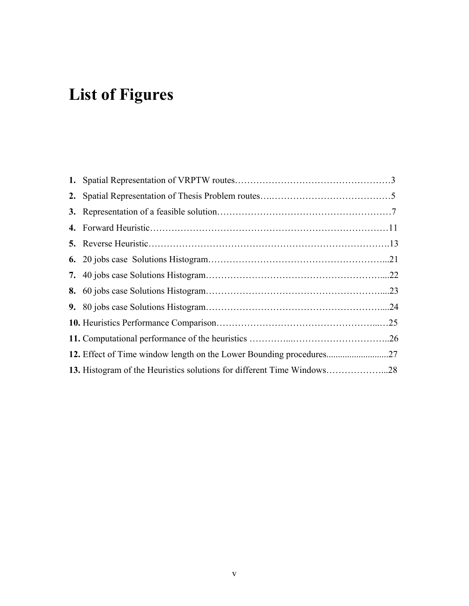# **List of Figures**

| 13. Histogram of the Heuristics solutions for different Time Windows28 |  |
|------------------------------------------------------------------------|--|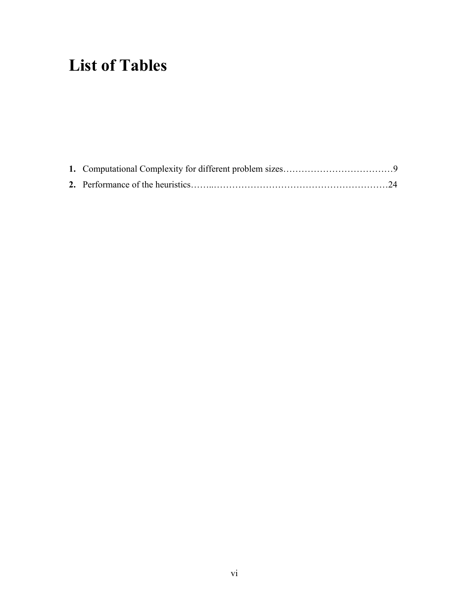# **List of Tables**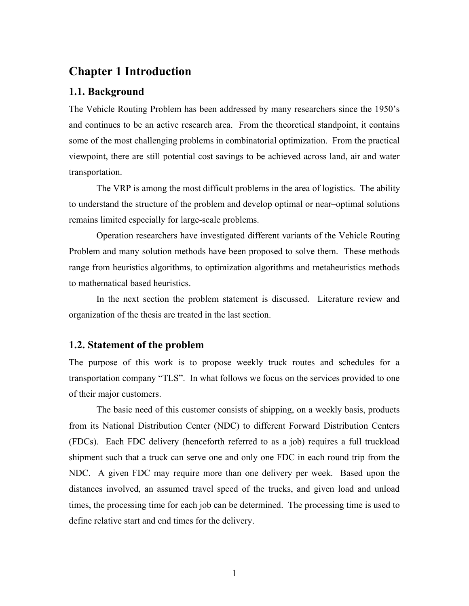#### **Chapter 1 Introduction**

#### **1.1. Background**

The Vehicle Routing Problem has been addressed by many researchers since the 1950's and continues to be an active research area. From the theoretical standpoint, it contains some of the most challenging problems in combinatorial optimization. From the practical viewpoint, there are still potential cost savings to be achieved across land, air and water transportation.

The VRP is among the most difficult problems in the area of logistics. The ability to understand the structure of the problem and develop optimal or near–optimal solutions remains limited especially for large-scale problems.

Operation researchers have investigated different variants of the Vehicle Routing Problem and many solution methods have been proposed to solve them. These methods range from heuristics algorithms, to optimization algorithms and metaheuristics methods to mathematical based heuristics.

In the next section the problem statement is discussed. Literature review and organization of the thesis are treated in the last section.

#### **1.2. Statement of the problem**

The purpose of this work is to propose weekly truck routes and schedules for a transportation company "TLS". In what follows we focus on the services provided to one of their major customers.

The basic need of this customer consists of shipping, on a weekly basis, products from its National Distribution Center (NDC) to different Forward Distribution Centers (FDCs). Each FDC delivery (henceforth referred to as a job) requires a full truckload shipment such that a truck can serve one and only one FDC in each round trip from the NDC. A given FDC may require more than one delivery per week. Based upon the distances involved, an assumed travel speed of the trucks, and given load and unload times, the processing time for each job can be determined. The processing time is used to define relative start and end times for the delivery.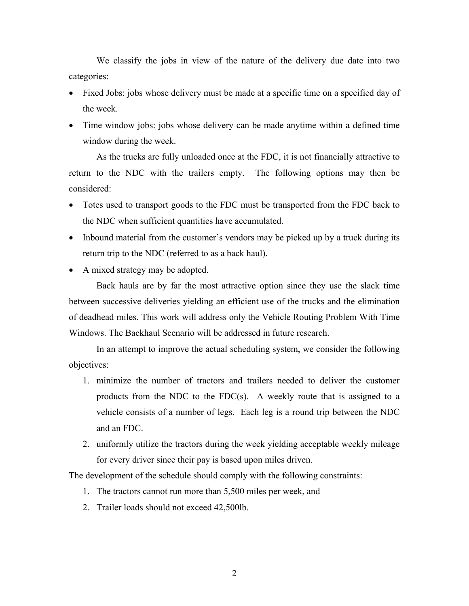We classify the jobs in view of the nature of the delivery due date into two categories:

- Fixed Jobs: jobs whose delivery must be made at a specific time on a specified day of the week.
- Time window jobs: jobs whose delivery can be made anytime within a defined time window during the week.

As the trucks are fully unloaded once at the FDC, it is not financially attractive to return to the NDC with the trailers empty. The following options may then be considered:

- Totes used to transport goods to the FDC must be transported from the FDC back to the NDC when sufficient quantities have accumulated.
- Inbound material from the customer's vendors may be picked up by a truck during its return trip to the NDC (referred to as a back haul).
- A mixed strategy may be adopted.

Back hauls are by far the most attractive option since they use the slack time between successive deliveries yielding an efficient use of the trucks and the elimination of deadhead miles. This work will address only the Vehicle Routing Problem With Time Windows. The Backhaul Scenario will be addressed in future research.

In an attempt to improve the actual scheduling system, we consider the following objectives:

- 1. minimize the number of tractors and trailers needed to deliver the customer products from the NDC to the FDC(s). A weekly route that is assigned to a vehicle consists of a number of legs. Each leg is a round trip between the NDC and an FDC.
- 2. uniformly utilize the tractors during the week yielding acceptable weekly mileage for every driver since their pay is based upon miles driven.

The development of the schedule should comply with the following constraints:

- 1. The tractors cannot run more than 5,500 miles per week, and
- 2. Trailer loads should not exceed 42,500lb.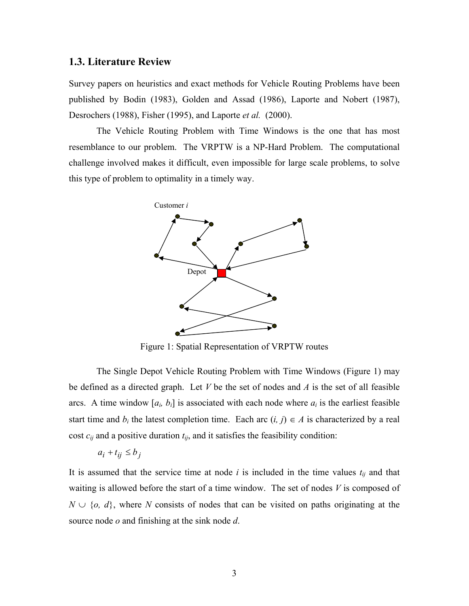#### **1.3. Literature Review**

Survey papers on heuristics and exact methods for Vehicle Routing Problems have been published by Bodin (1983), Golden and Assad (1986), Laporte and Nobert (1987), Desrochers (1988), Fisher (1995), and Laporte *et al.* (2000).

The Vehicle Routing Problem with Time Windows is the one that has most resemblance to our problem. The VRPTW is a NP-Hard Problem. The computational challenge involved makes it difficult, even impossible for large scale problems, to solve this type of problem to optimality in a timely way.



Figure 1: Spatial Representation of VRPTW routes

The Single Depot Vehicle Routing Problem with Time Windows (Figure 1) may be defined as a directed graph. Let *V* be the set of nodes and *A* is the set of all feasible arcs. A time window  $[a_i, b_i]$  is associated with each node where  $a_i$  is the earliest feasible start time and  $b_i$  the latest completion time. Each arc  $(i, j) \in A$  is characterized by a real cost  $c_{ij}$  and a positive duration  $t_{ij}$ , and it satisfies the feasibility condition:

$$
a_i + t_{ij} \le b_j
$$

It is assumed that the service time at node  $i$  is included in the time values  $t_{ij}$  and that waiting is allowed before the start of a time window. The set of nodes *V* is composed of  $N \cup \{o, d\}$ , where *N* consists of nodes that can be visited on paths originating at the source node *o* and finishing at the sink node *d*.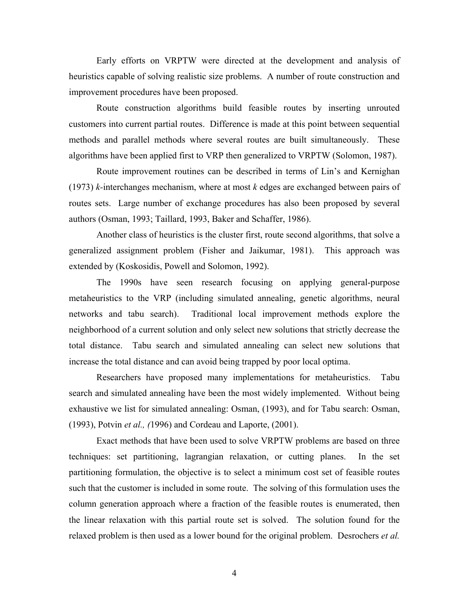Early efforts on VRPTW were directed at the development and analysis of heuristics capable of solving realistic size problems. A number of route construction and improvement procedures have been proposed.

Route construction algorithms build feasible routes by inserting unrouted customers into current partial routes. Difference is made at this point between sequential methods and parallel methods where several routes are built simultaneously. These algorithms have been applied first to VRP then generalized to VRPTW (Solomon, 1987).

Route improvement routines can be described in terms of Lin's and Kernighan (1973) *k-*interchanges mechanism, where at most *k* edges are exchanged between pairs of routes sets. Large number of exchange procedures has also been proposed by several authors (Osman, 1993; Taillard, 1993, Baker and Schaffer, 1986).

Another class of heuristics is the cluster first, route second algorithms, that solve a generalized assignment problem (Fisher and Jaikumar, 1981). This approach was extended by (Koskosidis, Powell and Solomon, 1992).

The 1990s have seen research focusing on applying general-purpose metaheuristics to the VRP (including simulated annealing, genetic algorithms, neural networks and tabu search). Traditional local improvement methods explore the neighborhood of a current solution and only select new solutions that strictly decrease the total distance. Tabu search and simulated annealing can select new solutions that increase the total distance and can avoid being trapped by poor local optima.

Researchers have proposed many implementations for metaheuristics. Tabu search and simulated annealing have been the most widely implemented. Without being exhaustive we list for simulated annealing: Osman, (1993), and for Tabu search: Osman, (1993), Potvin *et al., (*1996) and Cordeau and Laporte, (2001).

Exact methods that have been used to solve VRPTW problems are based on three techniques: set partitioning, lagrangian relaxation, or cutting planes. In the set partitioning formulation, the objective is to select a minimum cost set of feasible routes such that the customer is included in some route. The solving of this formulation uses the column generation approach where a fraction of the feasible routes is enumerated, then the linear relaxation with this partial route set is solved. The solution found for the relaxed problem is then used as a lower bound for the original problem. Desrochers *et al.*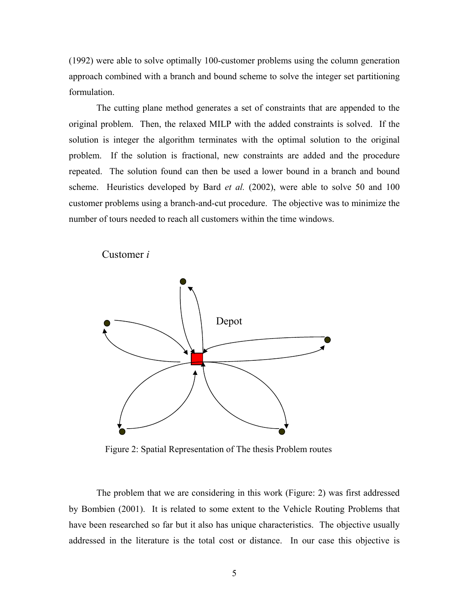(1992) were able to solve optimally 100-customer problems using the column generation approach combined with a branch and bound scheme to solve the integer set partitioning formulation.

The cutting plane method generates a set of constraints that are appended to the original problem. Then, the relaxed MILP with the added constraints is solved. If the solution is integer the algorithm terminates with the optimal solution to the original problem. If the solution is fractional, new constraints are added and the procedure repeated. The solution found can then be used a lower bound in a branch and bound scheme. Heuristics developed by Bard *et al.* (2002), were able to solve 50 and 100 customer problems using a branch-and-cut procedure. The objective was to minimize the number of tours needed to reach all customers within the time windows.





Figure 2: Spatial Representation of The thesis Problem routes

The problem that we are considering in this work (Figure: 2) was first addressed by Bombien (2001). It is related to some extent to the Vehicle Routing Problems that have been researched so far but it also has unique characteristics. The objective usually addressed in the literature is the total cost or distance. In our case this objective is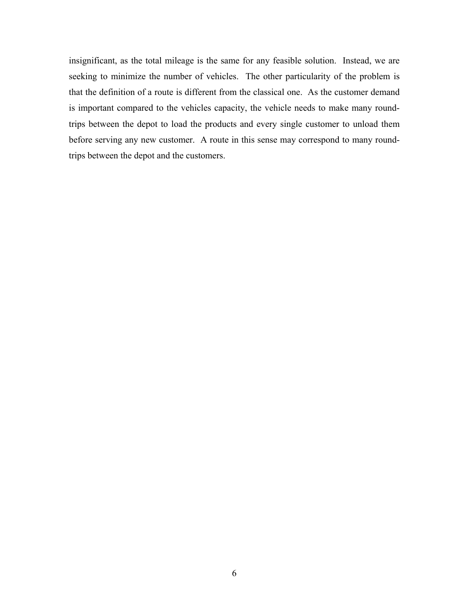insignificant, as the total mileage is the same for any feasible solution. Instead, we are seeking to minimize the number of vehicles. The other particularity of the problem is that the definition of a route is different from the classical one. As the customer demand is important compared to the vehicles capacity, the vehicle needs to make many roundtrips between the depot to load the products and every single customer to unload them before serving any new customer. A route in this sense may correspond to many roundtrips between the depot and the customers.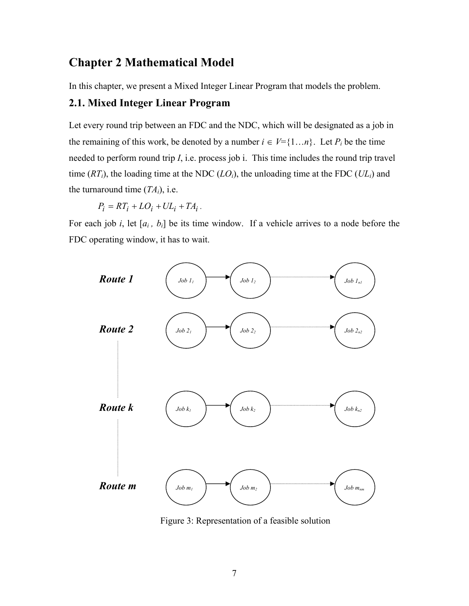## **Chapter 2 Mathematical Model**

In this chapter, we present a Mixed Integer Linear Program that models the problem.

#### **2.1. Mixed Integer Linear Program**

Let every round trip between an FDC and the NDC, which will be designated as a job in the remaining of this work, be denoted by a number  $i \in V = \{1...n\}$ . Let  $P_i$  be the time needed to perform round trip *I*, i.e. process job i. This time includes the round trip travel time  $(RT_i)$ , the loading time at the NDC  $(LO_i)$ , the unloading time at the FDC  $(UL_i)$  and the turnaround time  $(TA_i)$ , i.e.

 $P_i = RT_i + LO_i + UL_i + TA_i$ .

For each job *i*, let  $[a_i, b_i]$  be its time window. If a vehicle arrives to a node before the FDC operating window, it has to wait.



Figure 3: Representation of a feasible solution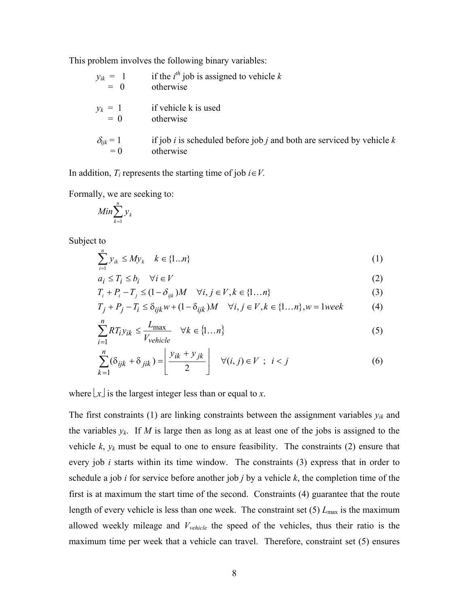This problem involves the following binary variables:

| $y_{ik} = 1$<br>= 0       | if the $i^{th}$ job is assigned to vehicle k<br>otherwise                            |
|---------------------------|--------------------------------------------------------------------------------------|
| $y_k = 1$<br>= 0          | if vehicle k is used<br>otherwise                                                    |
| $\delta_{ijk} = 1$<br>= 0 | if job i is scheduled before job j and both are serviced by vehicle $k$<br>otherwise |

In addition,  $T_i$  represents the starting time of job  $i \in V$ .

Formally, we are seeking to:

$$
Min\sum_{k=1}^n y_k
$$

Subject to

$$
\sum_{i=1}^{n} y_{ik} \le My_k \quad k \in \{1...n\}
$$
 (1)

$$
a_i \le T_i \le b_i \quad \forall i \in V \tag{2}
$$

$$
T_i + P_i - T_j \le (1 - \delta_{ijk})M \quad \forall i, j \in V, k \in \{1...n\}
$$
 (3)

$$
T_j + P_j - T_i \le \delta_{ijk} w + (1 - \delta_{ijk})M \quad \forall i, j \in V, k \in \{1...n\}, w = 1 \text{week}
$$
 (4)

$$
\sum_{i=1}^{n} RT_i y_{ik} \le \frac{L_{\text{max}}}{V_{\text{velicle}}} \quad \forall k \in \{1...n\}
$$
\n
$$
(5)
$$

$$
\sum_{k=1}^{n} (\delta_{ijk} + \delta_{jik}) = \left[ \frac{y_{ik} + y_{jk}}{2} \right] \quad \forall (i, j) \in V \; ; \; i < j \tag{6}
$$

where  $\lfloor x \rfloor$  is the largest integer less than or equal to *x*.

The first constraints (1) are linking constraints between the assignment variables  $y_{ik}$  and the variables  $y_k$ . If *M* is large then as long as at least one of the jobs is assigned to the vehicle  $k$ ,  $y_k$  must be equal to one to ensure feasibility. The constraints (2) ensure that every job *i* starts within its time window. The constraints (3) express that in order to schedule a job *i* for service before another job *j* by a vehicle *k*, the completion time of the first is at maximum the start time of the second. Constraints (4) guarantee that the route length of every vehicle is less than one week. The constraint set (5)  $L_{\text{max}}$  is the maximum allowed weekly mileage and *Vvehicle* the speed of the vehicles, thus their ratio is the maximum time per week that a vehicle can travel. Therefore, constraint set (5) ensures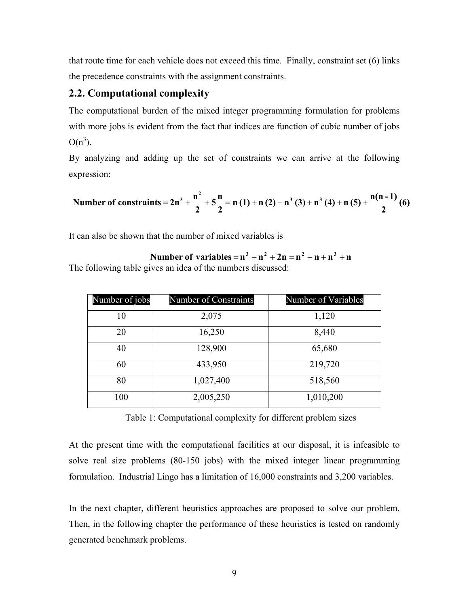that route time for each vehicle does not exceed this time. Finally, constraint set (6) links the precedence constraints with the assignment constraints.

#### **2.2. Computational complexity**

The computational burden of the mixed integer programming formulation for problems with more jobs is evident from the fact that indices are function of cubic number of jobs  $O(n^3)$ .

By analyzing and adding up the set of constraints we can arrive at the following expression:

Number of constraints = 
$$
2n^3 + \frac{n^2}{2} + 5\frac{n}{2} = n(1) + n(2) + n^3(3) + n^3(4) + n(5) + \frac{n(n-1)}{2}(6)
$$

It can also be shown that the number of mixed variables is

The following table gives an idea of the numbers discussed: **Number of variables** =  $n^3 + n^2 + 2n = n^2 + n + n^3 + n$ 

| Number of jobs | Number of Constraints | Number of Variables |
|----------------|-----------------------|---------------------|
| 10             | 2,075                 | 1,120               |
| 20             | 16,250                | 8,440               |
| 40             | 128,900               | 65,680              |
| 60             | 433,950               | 219,720             |
| 80             | 1,027,400             | 518,560             |
| 100            | 2,005,250             | 1,010,200           |

Table 1: Computational complexity for different problem sizes

At the present time with the computational facilities at our disposal, it is infeasible to solve real size problems (80-150 jobs) with the mixed integer linear programming formulation. Industrial Lingo has a limitation of 16,000 constraints and 3,200 variables.

In the next chapter, different heuristics approaches are proposed to solve our problem. Then, in the following chapter the performance of these heuristics is tested on randomly generated benchmark problems.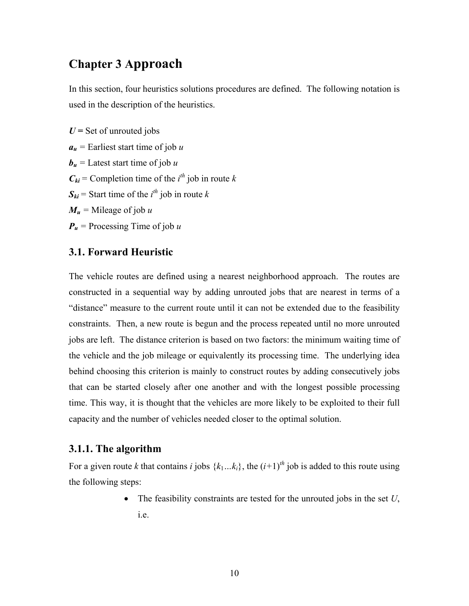## **Chapter 3 Approach**

In this section, four heuristics solutions procedures are defined. The following notation is used in the description of the heuristics.

 $U =$  Set of unrouted jobs  $a_u$  = Earliest start time of job *u*  **= Latest start time of job** *u*  $C_{ki}$  = Completion time of the *i*<sup>th</sup> job in route *k* 

- $S_{ki}$  = Start time of the *i*<sup>th</sup> job in route *k*
- $M_u$  = Mileage of job *u*
- *Pu =* Processing Time of job *u*

#### **3.1. Forward Heuristic**

The vehicle routes are defined using a nearest neighborhood approach. The routes are constructed in a sequential way by adding unrouted jobs that are nearest in terms of a "distance" measure to the current route until it can not be extended due to the feasibility constraints. Then, a new route is begun and the process repeated until no more unrouted jobs are left. The distance criterion is based on two factors: the minimum waiting time of the vehicle and the job mileage or equivalently its processing time. The underlying idea behind choosing this criterion is mainly to construct routes by adding consecutively jobs that can be started closely after one another and with the longest possible processing time. This way, it is thought that the vehicles are more likely to be exploited to their full capacity and the number of vehicles needed closer to the optimal solution.

#### **3.1.1. The algorithm**

For a given route *k* that contains *i* jobs  $\{k_1...k_i\}$ , the  $(i+1)^{th}$  job is added to this route using the following steps:

> • The feasibility constraints are tested for the unrouted jobs in the set *U*, i.e.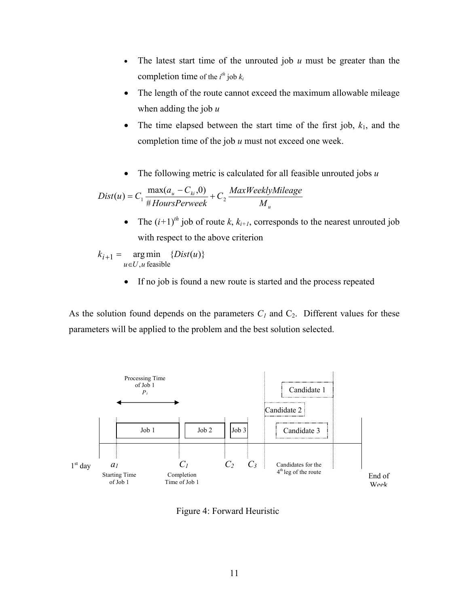- The latest start time of the unrouted job *u* must be greater than the completion time of the  $i^{th}$  job  $k_i$
- The length of the route cannot exceed the maximum allowable mileage when adding the job *u*
- The time elapsed between the start time of the first job,  $k_1$ , and the completion time of the job *u* must not exceed one week.
- The following metric is calculated for all feasible unrouted jobs *u*

$$
Dist(u) = C_1 \frac{\max(a_u - C_{ki}, 0)}{\# HoursPerweek} + C_2 \frac{MaxWeaklyMileage}{M_u}
$$

The  $(i+1)^{th}$  job of route *k*,  $k_{i+1}$ , corresponds to the nearest unrouted job with respect to the above criterion

$$
k_{i+1} = \underset{u \in U, u \text{ feasible}}{\arg \min} \{Dist(u)\}
$$

• If no job is found a new route is started and the process repeated

As the solution found depends on the parameters  $C_1$  and  $C_2$ . Different values for these parameters will be applied to the problem and the best solution selected.



Figure 4: Forward Heuristic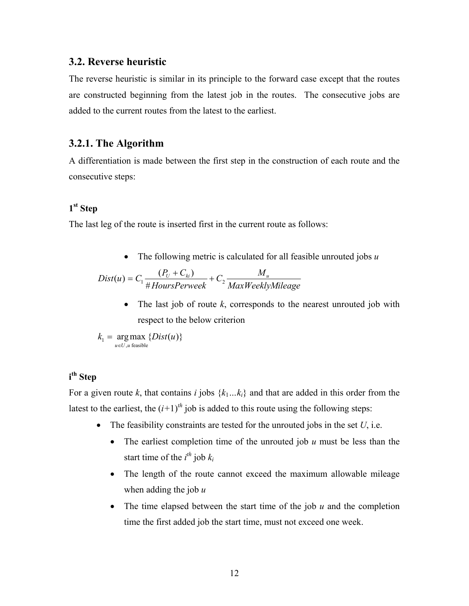#### **3.2. Reverse heuristic**

The reverse heuristic is similar in its principle to the forward case except that the routes are constructed beginning from the latest job in the routes. The consecutive jobs are added to the current routes from the latest to the earliest.

#### **3.2.1. The Algorithm**

A differentiation is made between the first step in the construction of each route and the consecutive steps:

#### **1st Step**

The last leg of the route is inserted first in the current route as follows:

• The following metric is calculated for all feasible unrouted jobs *u*

$$
Dist(u) = C_1 \frac{(P_U + C_{ki})}{\# HoursPerweek} + C_2 \frac{M_u}{MaxWeaklyMileage}
$$

• The last job of route *k*, corresponds to the nearest unrouted job with respect to the below criterion

 $argmax$  { $Dist(u)$ }  $k_1 = \argmax_{u \in U, u \text{ feasible}} \{Dist(u)$ 

#### **i th Step**

For a given route *k*, that contains *i* jobs  $\{k_1...k_i\}$  and that are added in this order from the latest to the earliest, the  $(i+1)^{th}$  job is added to this route using the following steps:

- The feasibility constraints are tested for the unrouted jobs in the set  $U$ , i.e.
	- The earliest completion time of the unrouted job *u* must be less than the start time of the  $i^{th}$  job  $k_i$
	- The length of the route cannot exceed the maximum allowable mileage when adding the job *u*
	- The time elapsed between the start time of the job *u* and the completion time the first added job the start time, must not exceed one week.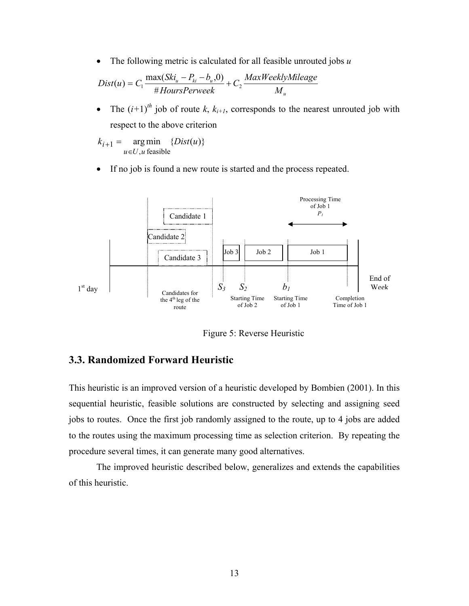• The following metric is calculated for all feasible unrouted jobs *u*

$$
Dist(u) = C_1 \frac{\max(Ski_u - P_{ki} - b_u, 0)}{\# HoursPerweek} + C_2 \frac{MaxWeeklyMileage}{M_u}
$$

• The  $(i+1)$ <sup>th</sup> job of route *k*,  $k_{i+1}$ , corresponds to the nearest unrouted job with respect to the above criterion

$$
k_{i+1} = \underset{u \in U, u \text{ feasible}}{\arg \min} \{Dist(u)\}
$$

• If no job is found a new route is started and the process repeated.



Figure 5: Reverse Heuristic

#### **3.3. Randomized Forward Heuristic**

This heuristic is an improved version of a heuristic developed by Bombien (2001). In this sequential heuristic, feasible solutions are constructed by selecting and assigning seed jobs to routes. Once the first job randomly assigned to the route, up to 4 jobs are added to the routes using the maximum processing time as selection criterion. By repeating the procedure several times, it can generate many good alternatives.

The improved heuristic described below, generalizes and extends the capabilities of this heuristic.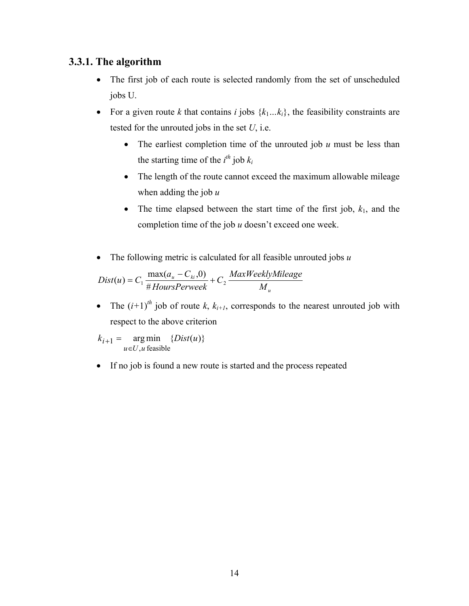#### **3.3.1. The algorithm**

- The first job of each route is selected randomly from the set of unscheduled jobs U.
- For a given route *k* that contains *i* jobs  $\{k_1...k_i\}$ , the feasibility constraints are tested for the unrouted jobs in the set *U*, i.e.
	- The earliest completion time of the unrouted job *u* must be less than the starting time of the  $i^{th}$  job  $k_i$
	- The length of the route cannot exceed the maximum allowable mileage when adding the job *u*
	- The time elapsed between the start time of the first job,  $k_1$ , and the completion time of the job *u* doesn't exceed one week.
- The following metric is calculated for all feasible unrouted jobs *u*

$$
Dist(u) = C_1 \frac{\max(a_u - C_{ki}, 0)}{\# HoursPerweek} + C_2 \frac{MaxWeeklyMileage}{M_u}
$$

• The  $(i+1)^{th}$  job of route *k*,  $k_{i+1}$ , corresponds to the nearest unrouted job with respect to the above criterion

 $arg min \{ Dist(u) \}$  $, u$  feasible  $k_{i+1}$  = argmin {*Dist*(*u*  $u \in U, u$ *i* ∈  $+1 =$ 

• If no job is found a new route is started and the process repeated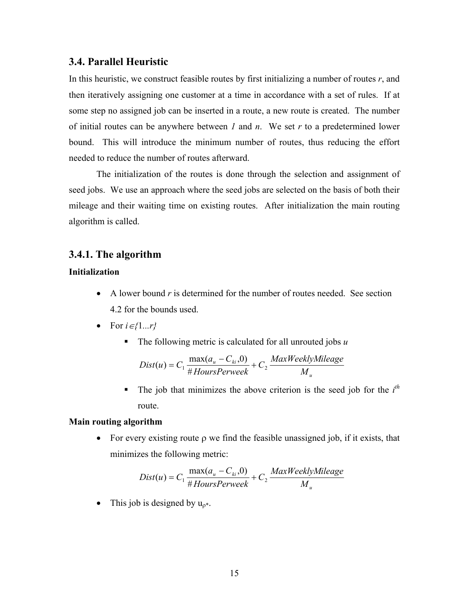#### **3.4. Parallel Heuristic**

In this heuristic, we construct feasible routes by first initializing a number of routes *r*, and then iteratively assigning one customer at a time in accordance with a set of rules. If at some step no assigned job can be inserted in a route, a new route is created. The number of initial routes can be anywhere between *1* and *n*. We set *r* to a predetermined lower bound. This will introduce the minimum number of routes, thus reducing the effort needed to reduce the number of routes afterward.

The initialization of the routes is done through the selection and assignment of seed jobs. We use an approach where the seed jobs are selected on the basis of both their mileage and their waiting time on existing routes. After initialization the main routing algorithm is called.

#### **3.4.1. The algorithm**

#### **Initialization**

- A lower bound *r* is determined for the number of routes needed. See section 4.2 for the bounds used.
- For *i*∈*{*1*...r}*
	- The following metric is calculated for all unrouted jobs *u*

$$
Dist(u) = C_1 \frac{\max(a_u - C_{ki}, 0)}{\# HoursPerweek} + C_2 \frac{MaxWeeklyMileage}{M_u}
$$

The job that minimizes the above criterion is the seed job for the  $i^{th}$ route.

#### **Main routing algorithm**

• For every existing route ρ we find the feasible unassigned job, if it exists, that minimizes the following metric:

$$
Dist(u) = C_1 \frac{\max(a_u - C_{ki}, 0)}{\# HoursPerweek} + C_2 \frac{MaxWeeklyMileage}{M_u}
$$

This job is designed by  $u_{\rho^*}$ .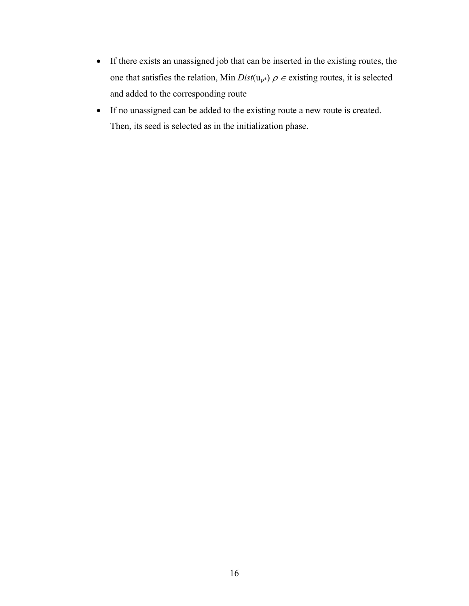- If there exists an unassigned job that can be inserted in the existing routes, the one that satisfies the relation, Min  $Dist(u_{\rho^*}) \rho \in$  existing routes, it is selected and added to the corresponding route
- If no unassigned can be added to the existing route a new route is created. Then, its seed is selected as in the initialization phase.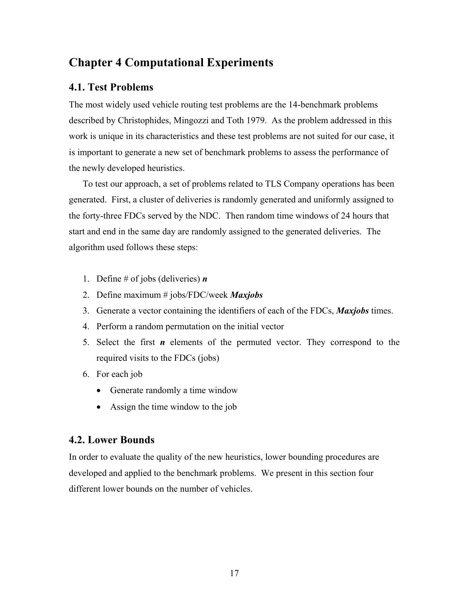## **Chapter 4 Computational Experiments**

#### **4.1. Test Problems**

The most widely used vehicle routing test problems are the 14-benchmark problems described by Christophides, Mingozzi and Toth 1979. As the problem addressed in this work is unique in its characteristics and these test problems are not suited for our case, it is important to generate a new set of benchmark problems to assess the performance of the newly developed heuristics.

To test our approach, a set of problems related to TLS Company operations has been generated. First, a cluster of deliveries is randomly generated and uniformly assigned to the forty-three FDCs served by the NDC. Then random time windows of 24 hours that start and end in the same day are randomly assigned to the generated deliveries. The algorithm used follows these steps:

- 1. Define # of jobs (deliveries) *n*
- 2. Define maximum # jobs/FDC/week *Maxjobs*
- 3. Generate a vector containing the identifiers of each of the FDCs, *Maxjobs* times.
- 4. Perform a random permutation on the initial vector
- 5. Select the first *n* elements of the permuted vector. They correspond to the required visits to the FDCs (jobs)
- 6. For each job
	- Generate randomly a time window
	- Assign the time window to the job

#### **4.2. Lower Bounds**

In order to evaluate the quality of the new heuristics, lower bounding procedures are developed and applied to the benchmark problems. We present in this section four different lower bounds on the number of vehicles.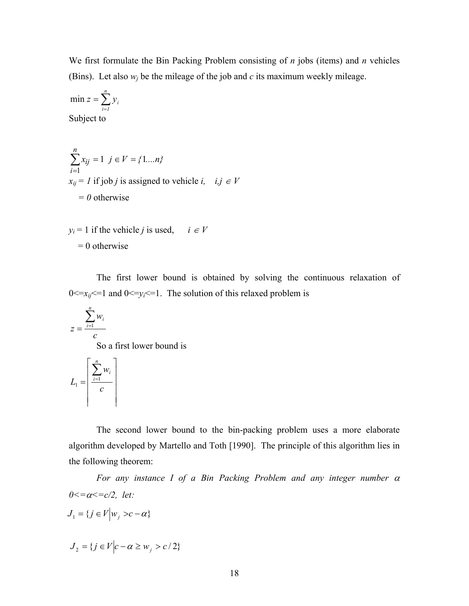We first formulate the Bin Packing Problem consisting of *n* jobs (items) and *n* vehicles (Bins). Let also  $w_i$  be the mileage of the job and  $c$  its maximum weekly mileage.

$$
\min z = \sum_{i=1}^{n} y_i
$$
  
Subject to

$$
\sum_{i=1}^{n} x_{ij} = 1 \quad j \in V = \{1...n\}
$$
  
x<sub>ij</sub> = 1 if job *j* is assigned to vehicle *i*, *i*, *j*  $\in$  *V*  
= 0 otherwise

 $y_i = 1$  if the vehicle *j* is used, *i*  $\in V$  $= 0$  otherwise

The first lower bound is obtained by solving the continuous relaxation of  $0 \le x_{ij} \le 1$  and  $0 \le y_i \le 1$ . The solution of this relaxed problem is

$$
z = \frac{\sum_{i=1}^{n} w_i}{c}
$$

So a first lower bound is

$$
L_1 = \left\lceil \frac{\sum_{i=1}^n w_i}{c} \right\rceil
$$

The second lower bound to the bin-packing problem uses a more elaborate algorithm developed by Martello and Toth [1990]. The principle of this algorithm lies in the following theorem:

*For any instance I of a Bin Packing Problem and any integer number* <sup>α</sup> *0<=*α*<=c/2, let:* 

$$
J_1 = \{ j \in V \Big| w_j > c - \alpha \}
$$

$$
J_2 = \{ j \in V \Big| c - \alpha \ge w_j > c/2 \}
$$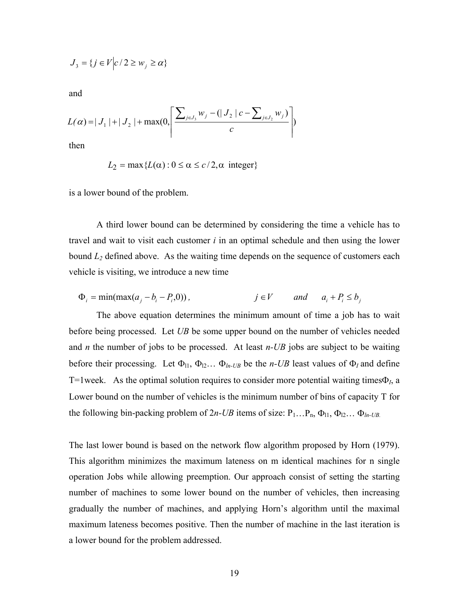$$
J_3 = \{ j \in V \big| c / 2 \ge w_j \ge \alpha \}
$$

and

$$
L(\alpha) = |J_1| + |J_2| + \max(0, \left[ \frac{\sum_{j \in J_3} w_j - (|J_2| c - \sum_{j \in J_2} w_j)}{c} \right])
$$

then

$$
L_2 = \max \{ L(\alpha) : 0 \le \alpha \le c/2, \alpha \text{ integer} \}
$$

is a lower bound of the problem.

A third lower bound can be determined by considering the time a vehicle has to travel and wait to visit each customer *i* in an optimal schedule and then using the lower bound *L2* defined above. As the waiting time depends on the sequence of customers each vehicle is visiting, we introduce a new time

$$
\Phi_i = \min(\max(a_j - b_i - P_i, 0)), \qquad j \in V \qquad \text{and} \qquad a_i + P_i \le b_j
$$

 The above equation determines the minimum amount of time a job has to wait before being processed. Let *UB* be some upper bound on the number of vehicles needed and *n* the number of jobs to be processed. At least *n-UB* jobs are subject to be waiting before their processing. Let  $\Phi_{11}$ ,  $\Phi_{12}$ ...  $\Phi_{1n-UB}$  be the *n-UB* least values of  $\Phi_I$  and define T=1week. As the optimal solution requires to consider more potential waiting timesΦ*I*, a Lower bound on the number of vehicles is the minimum number of bins of capacity T for the following bin-packing problem of  $2n$ -UB items of size:  $P_1...P_n$ ,  $\Phi_{l1}$ ,  $\Phi_{l2}...$   $\Phi_{ln-UB}$ .

The last lower bound is based on the network flow algorithm proposed by Horn (1979). This algorithm minimizes the maximum lateness on m identical machines for n single operation Jobs while allowing preemption. Our approach consist of setting the starting number of machines to some lower bound on the number of vehicles, then increasing gradually the number of machines, and applying Horn's algorithm until the maximal maximum lateness becomes positive. Then the number of machine in the last iteration is a lower bound for the problem addressed.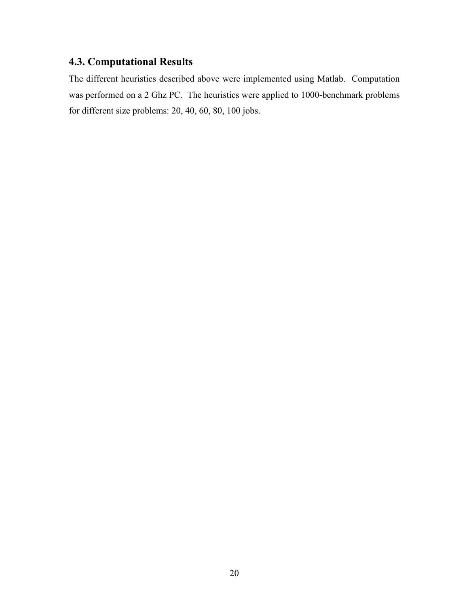## **4.3. Computational Results**

The different heuristics described above were implemented using Matlab. Computation was performed on a 2 Ghz PC. The heuristics were applied to 1000-benchmark problems for different size problems: 20, 40, 60, 80, 100 jobs.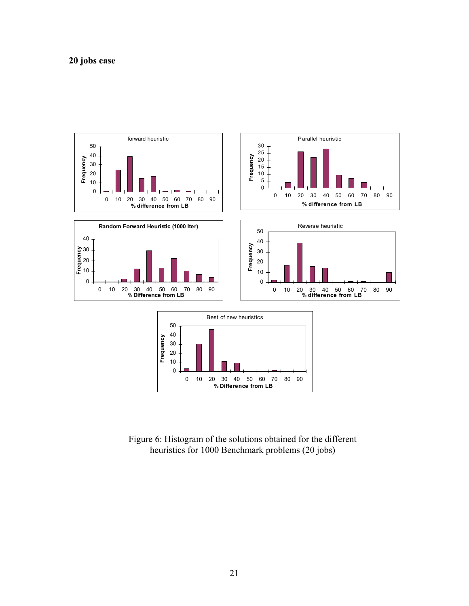

Figure 6: Histogram of the solutions obtained for the different heuristics for 1000 Benchmark problems (20 jobs)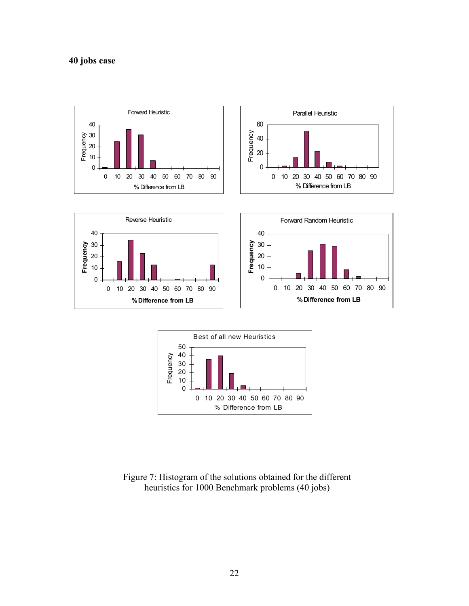



Figure 7: Histogram of the solutions obtained for the different heuristics for 1000 Benchmark problems (40 jobs)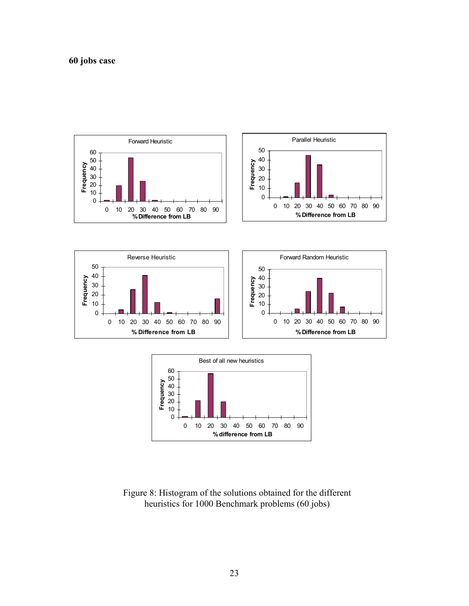



Figure 8: Histogram of the solutions obtained for the different heuristics for 1000 Benchmark problems (60 jobs)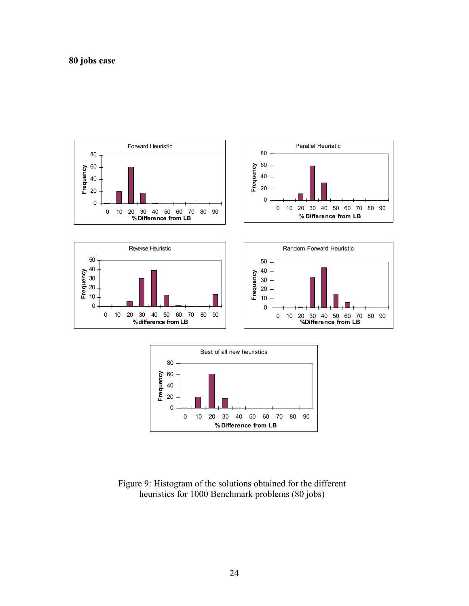



0 10 20 30 40 50 60 70 80 90 **% Difference from LB**

0 20 40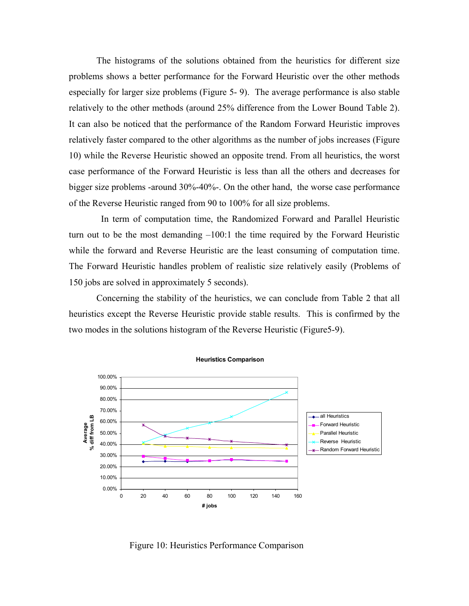The histograms of the solutions obtained from the heuristics for different size problems shows a better performance for the Forward Heuristic over the other methods especially for larger size problems (Figure 5- 9). The average performance is also stable relatively to the other methods (around 25% difference from the Lower Bound Table 2). It can also be noticed that the performance of the Random Forward Heuristic improves relatively faster compared to the other algorithms as the number of jobs increases (Figure 10) while the Reverse Heuristic showed an opposite trend. From all heuristics, the worst case performance of the Forward Heuristic is less than all the others and decreases for bigger size problems -around 30%-40%-. On the other hand, the worse case performance of the Reverse Heuristic ranged from 90 to 100% for all size problems.

 In term of computation time, the Randomized Forward and Parallel Heuristic turn out to be the most demanding –100:1 the time required by the Forward Heuristic while the forward and Reverse Heuristic are the least consuming of computation time. The Forward Heuristic handles problem of realistic size relatively easily (Problems of 150 jobs are solved in approximately 5 seconds).

Concerning the stability of the heuristics, we can conclude from Table 2 that all heuristics except the Reverse Heuristic provide stable results. This is confirmed by the two modes in the solutions histogram of the Reverse Heuristic (Figure5-9).



Figure 10: Heuristics Performance Comparison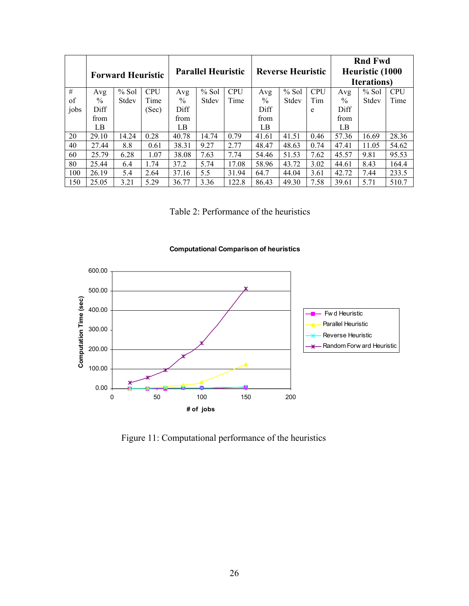|      | <b>Forward Heuristic</b> |         |            | <b>Parallel Heuristic</b> |         |            | <b>Reverse Heuristic</b> |         |            | <b>Rnd Fwd</b><br>Heuristic (1000<br><b>Iterations</b> ) |         |            |
|------|--------------------------|---------|------------|---------------------------|---------|------------|--------------------------|---------|------------|----------------------------------------------------------|---------|------------|
| #    | Avg                      | $%$ Sol | <b>CPU</b> | Avg                       | $%$ Sol | <b>CPU</b> | Avg                      | $%$ Sol | <b>CPU</b> | Avg                                                      | $%$ Sol | <b>CPU</b> |
| of   | $\frac{0}{0}$            | Stdev   | Time       | $\frac{0}{0}$             | Stdev   | Time       | $\frac{0}{0}$            | Stdev   | Tim        | $\frac{0}{0}$                                            | Stdev   | Time       |
| jobs | Diff                     |         | (Sec)      | Diff                      |         |            | Diff                     |         | e          | Diff                                                     |         |            |
|      | from                     |         |            | from                      |         |            | from                     |         |            | from                                                     |         |            |
|      | LВ                       |         |            | LB                        |         |            | LВ                       |         |            | LВ                                                       |         |            |
| 20   | 29.10                    | 14.24   | 0.28       | 40.78                     | 14.74   | 0.79       | 41.61                    | 41.51   | 0.46       | 57.36                                                    | 16.69   | 28.36      |
| 40   | 27.44                    | 8.8     | 0.61       | 38.31                     | 9.27    | 2.77       | 48.47                    | 48.63   | 0.74       | 47.41                                                    | 11.05   | 54.62      |
| 60   | 25.79                    | 6.28    | 1.07       | 38.08                     | 7.63    | 7.74       | 54.46                    | 51.53   | 7.62       | 45.57                                                    | 9.81    | 95.53      |
| 80   | 25.44                    | 6.4     | 1.74       | 37.2                      | 5.74    | 17.08      | 58.96                    | 43.72   | 3.02       | 44.61                                                    | 8.43    | 164.4      |
| 100  | 26.19                    | 5.4     | 2.64       | 37.16                     | 5.5     | 31.94      | 64.7                     | 44.04   | 3.61       | 42.72                                                    | 7.44    | 233.5      |
| 150  | 25.05                    | 3.21    | 5.29       | 36.77                     | 3.36    | 122.8      | 86.43                    | 49.30   | 7.58       | 39.61                                                    | 5.71    | 510.7      |

Table 2: Performance of the heuristics





Figure 11: Computational performance of the heuristics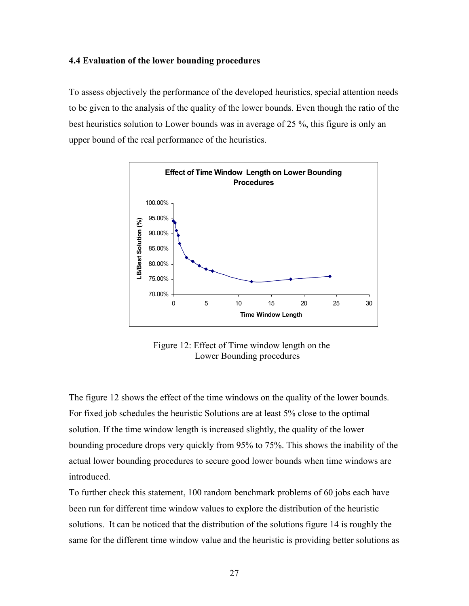#### **4.4 Evaluation of the lower bounding procedures**

To assess objectively the performance of the developed heuristics, special attention needs to be given to the analysis of the quality of the lower bounds. Even though the ratio of the best heuristics solution to Lower bounds was in average of 25 %, this figure is only an upper bound of the real performance of the heuristics.



Figure 12: Effect of Time window length on the Lower Bounding procedures

The figure 12 shows the effect of the time windows on the quality of the lower bounds. For fixed job schedules the heuristic Solutions are at least 5% close to the optimal solution. If the time window length is increased slightly, the quality of the lower bounding procedure drops very quickly from 95% to 75%. This shows the inability of the actual lower bounding procedures to secure good lower bounds when time windows are introduced.

To further check this statement, 100 random benchmark problems of 60 jobs each have been run for different time window values to explore the distribution of the heuristic solutions. It can be noticed that the distribution of the solutions figure 14 is roughly the same for the different time window value and the heuristic is providing better solutions as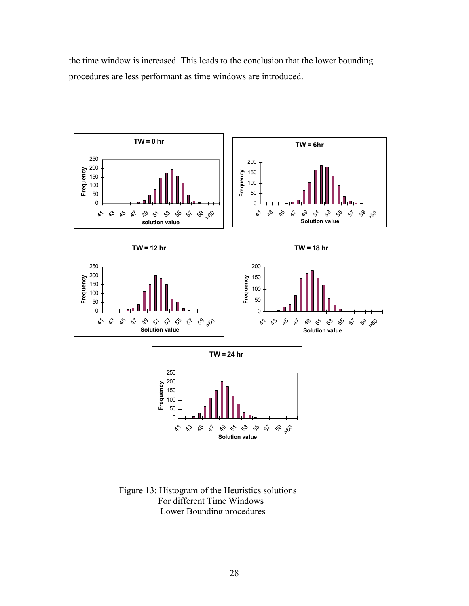the time window is increased. This leads to the conclusion that the lower bounding procedures are less performant as time windows are introduced.



Figure 13: Histogram of the Heuristics solutions For different Time Windows Lower Bounding procedures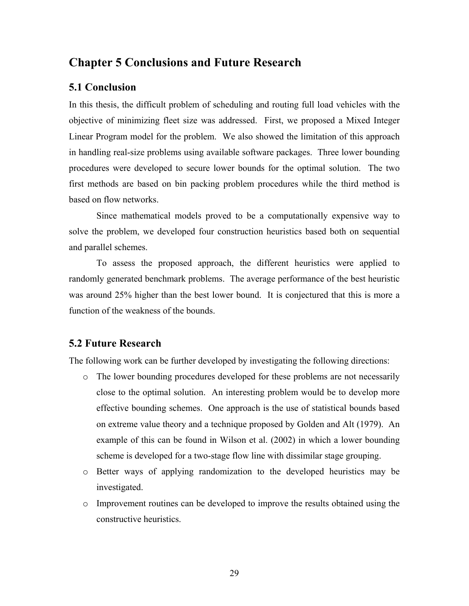## **Chapter 5 Conclusions and Future Research**

#### **5.1 Conclusion**

In this thesis, the difficult problem of scheduling and routing full load vehicles with the objective of minimizing fleet size was addressed. First, we proposed a Mixed Integer Linear Program model for the problem. We also showed the limitation of this approach in handling real-size problems using available software packages. Three lower bounding procedures were developed to secure lower bounds for the optimal solution. The two first methods are based on bin packing problem procedures while the third method is based on flow networks.

Since mathematical models proved to be a computationally expensive way to solve the problem, we developed four construction heuristics based both on sequential and parallel schemes.

To assess the proposed approach, the different heuristics were applied to randomly generated benchmark problems. The average performance of the best heuristic was around 25% higher than the best lower bound. It is conjectured that this is more a function of the weakness of the bounds.

#### **5.2 Future Research**

The following work can be further developed by investigating the following directions:

- o The lower bounding procedures developed for these problems are not necessarily close to the optimal solution. An interesting problem would be to develop more effective bounding schemes. One approach is the use of statistical bounds based on extreme value theory and a technique proposed by Golden and Alt (1979). An example of this can be found in Wilson et al. (2002) in which a lower bounding scheme is developed for a two-stage flow line with dissimilar stage grouping.
- o Better ways of applying randomization to the developed heuristics may be investigated.
- o Improvement routines can be developed to improve the results obtained using the constructive heuristics.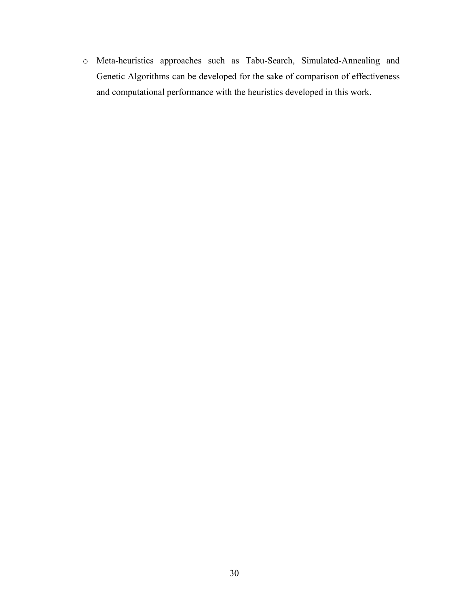o Meta-heuristics approaches such as Tabu-Search, Simulated-Annealing and Genetic Algorithms can be developed for the sake of comparison of effectiveness and computational performance with the heuristics developed in this work.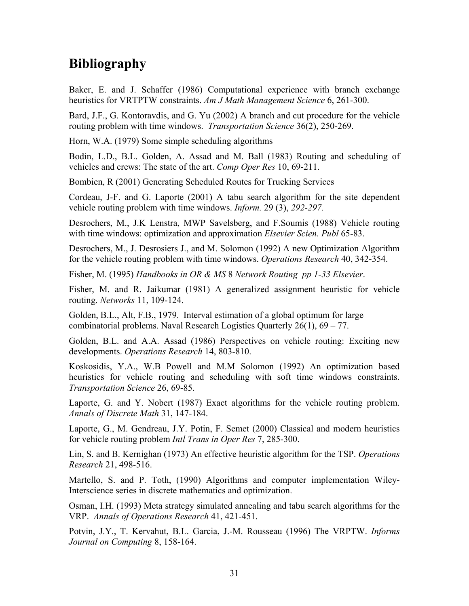# **Bibliography**

Baker, E. and J. Schaffer (1986) Computational experience with branch exchange heuristics for VRTPTW constraints. *Am J Math Management Science* 6, 261-300.

Bard, J.F., G. Kontoravdis, and G. Yu (2002) A branch and cut procedure for the vehicle routing problem with time windows. *Transportation Science* 36(2), 250-269.

Horn, W.A. (1979) Some simple scheduling algorithms

Bodin, L.D., B.L. Golden, A. Assad and M. Ball (1983) Routing and scheduling of vehicles and crews: The state of the art. *Comp Oper Res* 10, 69-211.

Bombien, R (2001) Generating Scheduled Routes for Trucking Services

Cordeau, J-F. and G. Laporte (2001) A tabu search algorithm for the site dependent vehicle routing problem with time windows. *Inform.* 29 (3), *292-297.* 

Desrochers, M., J.K Lenstra, MWP Savelsberg, and F.Soumis (1988) Vehicle routing with time windows: optimization and approximation *Elsevier Scien. Publ* 65-83.

Desrochers, M., J. Desrosiers J., and M. Solomon (1992) A new Optimization Algorithm for the vehicle routing problem with time windows. *Operations Research* 40, 342-354.

Fisher, M. (1995) *Handbooks in OR & MS* 8 *Network Routing pp 1-33 Elsevier*.

Fisher, M. and R. Jaikumar (1981) A generalized assignment heuristic for vehicle routing. *Networks* 11, 109-124.

Golden, B.L., Alt, F.B., 1979. Interval estimation of a global optimum for large combinatorial problems. Naval Research Logistics Quarterly 26(1), 69 – 77.

Golden, B.L. and A.A. Assad (1986) Perspectives on vehicle routing: Exciting new developments. *Operations Research* 14, 803-810.

Koskosidis, Y.A., W.B Powell and M.M Solomon (1992) An optimization based heuristics for vehicle routing and scheduling with soft time windows constraints. *Transportation Science* 26, 69-85.

Laporte, G. and Y. Nobert (1987) Exact algorithms for the vehicle routing problem. *Annals of Discrete Math* 31, 147-184.

Laporte, G., M. Gendreau, J.Y. Potin, F. Semet (2000) Classical and modern heuristics for vehicle routing problem *Intl Trans in Oper Res* 7, 285-300.

Lin, S. and B. Kernighan (1973) An effective heuristic algorithm for the TSP. *Operations Research* 21, 498-516.

Martello, S. and P. Toth, (1990) Algorithms and computer implementation Wiley-Interscience series in discrete mathematics and optimization.

Osman, I.H. (1993) Meta strategy simulated annealing and tabu search algorithms for the VRP. *Annals of Operations Research* 41, 421-451.

Potvin, J.Y., T. Kervahut, B.L. Garcia, J.-M. Rousseau (1996) The VRPTW. *Informs Journal on Computing* 8, 158-164.